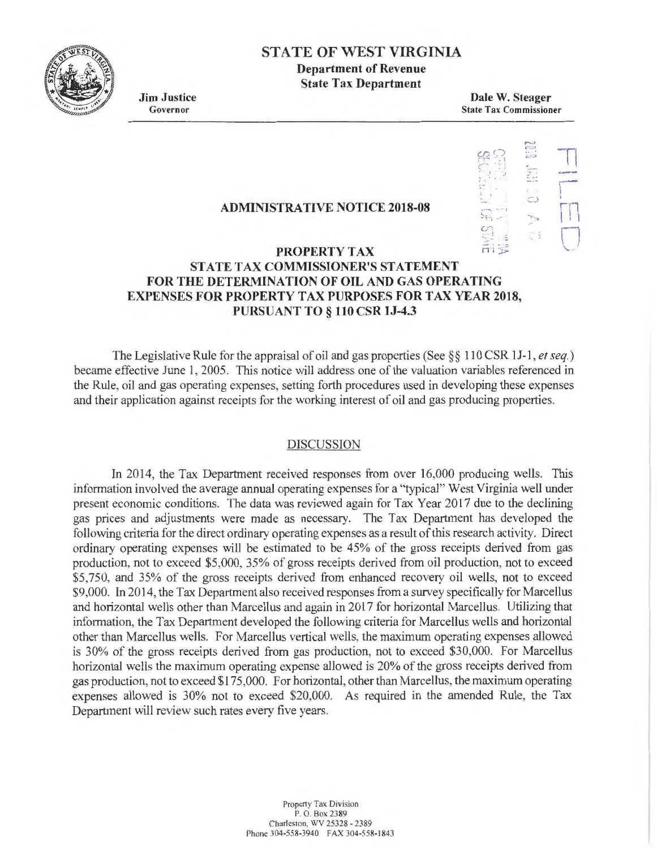

## **STATE OF WEST VIRGINIA Department of Revenue**

**State Tax Department** 

**Jim Justice**  Governor

**Dale W. Steager**  State Tax Commissioner

### **ADMINISTRATIVE NOTICE 2018-08**



## **PROPERTY TAX STATE TAX COMMISSIONER'S STATEMENT FOR THE DETERMINATION OF OIL AND GAS OPERATING EXPENSES FOR PROPERTY TAX PURPOSES FOR TAX YEAR 2018, PURSUANT TO§ 110 CSR lJ-4.3**

The Legislative Rule for the appraisal of oil and gas properties (See §§ 110 CSR 11-1 , *et seq.)*  became effective June 1, 2005. This notice will address one of the valuation variables referenced in the Rule, oil and gas operating expenses, setting forth procedures used in developing these expenses and their application against receipts for the working interest of oil and gas producing properties.

#### DISCUSSION

In 2014, the Tax Department received responses from over 16,000 producing wells. This information involved the average annual operating expenses for a "typical" West Virginia well under present economic conditions. The data was reviewed again for Tax Year 2017 due to the declining gas prices and adjustments were made as necessary. The Tax Department has developed the following criteria for the direct ordinary operating expenses as a result of this research activity. Direct ordinary operating expenses will be estimated to be 45% of the gross receipts derived from gas production, not to exceed \$5,000, 35% of gross receipts derived from oil production, not to exceed \$5,750, and 35% of the gross receipts derived from enhanced recovery oil wells, not to exceed \$9,000. In 2014, the Tax Department also received responses from a survey specifically for Marcellus and horizontal wells other than Marcellus and again in 2017 for horizontal Marcellus. Utilizing that information, the Tax Department developed the following criteria for Marcellus wells and horizontal other than Marcellus wells. For Marcellus vertical wells, the maximum operating expenses allowed is 30% of the gross receipts derived from gas production, not to exceed \$30,000. For Marcellus horizontal wells the maximum operating expense allowed is 20% of the gross receipts derived from gas production, not to exceed \$175,000. For horizontal, other than Marcellus, the maximum operating expenses allowed is 30% not to exceed \$20,000. As required in the amended Rule, the Tax Department will review such rates every five years.